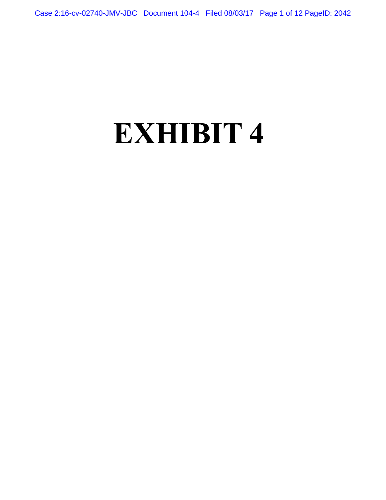## **EXHIBIT 4**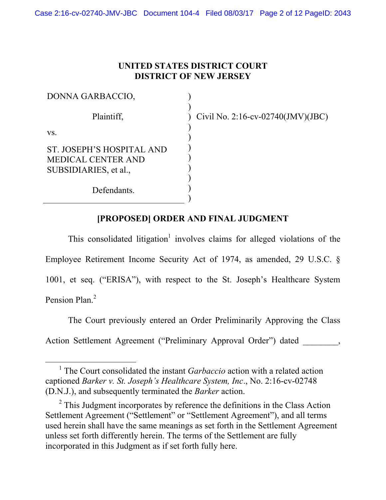## **UNITED STATES DISTRICT COURT DISTRICT OF NEW JERSEY**

) )

) ) ) ) ) ) ) )

| DONNA GARBACCIO,                                                                |
|---------------------------------------------------------------------------------|
| Plaintiff,                                                                      |
| VS.                                                                             |
| ST. JOSEPH'S HOSPITAL AND<br><b>MEDICAL CENTER AND</b><br>SUBSIDIARIES, et al., |
| Defendants.                                                                     |

) Civil No. 2:16-cv-02740(JMV)(JBC)

## **[PROPOSED] ORDER AND FINAL JUDGMENT**

This consolidated litigation<sup>1</sup> involves claims for alleged violations of the Employee Retirement Income Security Act of 1974, as amended, 29 U.S.C. § 1001, et seq. ("ERISA"), with respect to the St. Joseph's Healthcare System Pension Plan.<sup>2</sup>

 The Court previously entered an Order Preliminarily Approving the Class Action Settlement Agreement ("Preliminary Approval Order") dated

<sup>&</sup>lt;sup>1</sup> The Court consolidated the instant *Garbaccio* action with a related action captioned *Barker v. St. Joseph's Healthcare System, Inc*., No. 2:16-cv-02748 (D.N.J.), and subsequently terminated the *Barker* action.

 $2^2$  This Judgment incorporates by reference the definitions in the Class Action Settlement Agreement ("Settlement" or "Settlement Agreement"), and all terms used herein shall have the same meanings as set forth in the Settlement Agreement unless set forth differently herein. The terms of the Settlement are fully incorporated in this Judgment as if set forth fully here.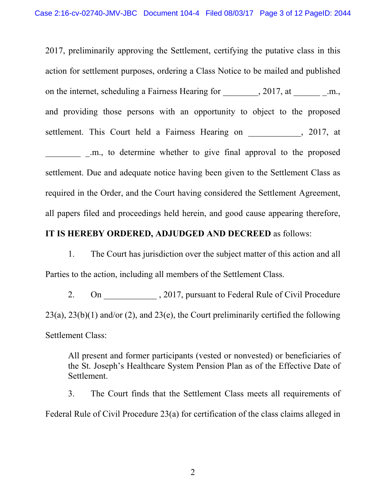2017, preliminarily approving the Settlement, certifying the putative class in this action for settlement purposes, ordering a Class Notice to be mailed and published on the internet, scheduling a Fairness Hearing for  $\qquad \qquad , 2017, at \qquad \qquad m.$ and providing those persons with an opportunity to object to the proposed settlement. This Court held a Fairness Hearing on , 2017, at

\_\_\_\_\_\_\_\_ \_.m., to determine whether to give final approval to the proposed settlement. Due and adequate notice having been given to the Settlement Class as required in the Order, and the Court having considered the Settlement Agreement, all papers filed and proceedings held herein, and good cause appearing therefore,

## **IT IS HEREBY ORDERED, ADJUDGED AND DECREED** as follows:

1. The Court has jurisdiction over the subject matter of this action and all Parties to the action, including all members of the Settlement Class.

2. On \_\_\_\_\_\_\_\_\_\_\_\_\_\_\_\_\_, 2017, pursuant to Federal Rule of Civil Procedure  $23(a)$ ,  $23(b)(1)$  and/or (2), and  $23(e)$ , the Court preliminarily certified the following Settlement Class:

All present and former participants (vested or nonvested) or beneficiaries of the St. Joseph's Healthcare System Pension Plan as of the Effective Date of Settlement.

3. The Court finds that the Settlement Class meets all requirements of Federal Rule of Civil Procedure 23(a) for certification of the class claims alleged in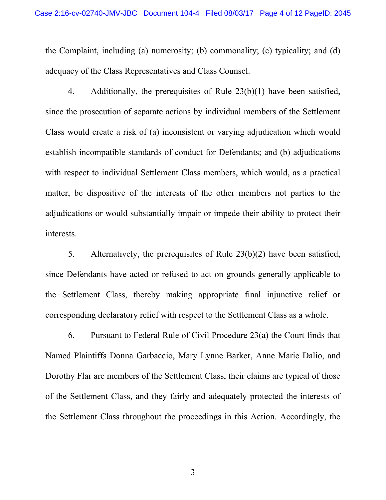the Complaint, including (a) numerosity; (b) commonality; (c) typicality; and (d) adequacy of the Class Representatives and Class Counsel.

4. Additionally, the prerequisites of Rule 23(b)(1) have been satisfied, since the prosecution of separate actions by individual members of the Settlement Class would create a risk of (a) inconsistent or varying adjudication which would establish incompatible standards of conduct for Defendants; and (b) adjudications with respect to individual Settlement Class members, which would, as a practical matter, be dispositive of the interests of the other members not parties to the adjudications or would substantially impair or impede their ability to protect their interests.

5. Alternatively, the prerequisites of Rule 23(b)(2) have been satisfied, since Defendants have acted or refused to act on grounds generally applicable to the Settlement Class, thereby making appropriate final injunctive relief or corresponding declaratory relief with respect to the Settlement Class as a whole.

6. Pursuant to Federal Rule of Civil Procedure 23(a) the Court finds that Named Plaintiffs Donna Garbaccio, Mary Lynne Barker, Anne Marie Dalio, and Dorothy Flar are members of the Settlement Class, their claims are typical of those of the Settlement Class, and they fairly and adequately protected the interests of the Settlement Class throughout the proceedings in this Action. Accordingly, the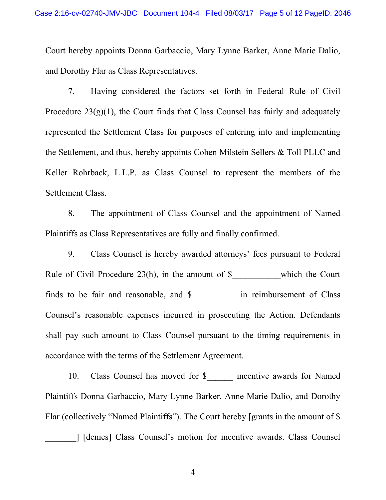Court hereby appoints Donna Garbaccio, Mary Lynne Barker, Anne Marie Dalio, and Dorothy Flar as Class Representatives.

7. Having considered the factors set forth in Federal Rule of Civil Procedure  $23(g)(1)$ , the Court finds that Class Counsel has fairly and adequately represented the Settlement Class for purposes of entering into and implementing the Settlement, and thus, hereby appoints Cohen Milstein Sellers & Toll PLLC and Keller Rohrback, L.L.P. as Class Counsel to represent the members of the Settlement Class.

8. The appointment of Class Counsel and the appointment of Named Plaintiffs as Class Representatives are fully and finally confirmed.

9. Class Counsel is hereby awarded attorneys' fees pursuant to Federal Rule of Civil Procedure  $23(h)$ , in the amount of \$<br>which the Court finds to be fair and reasonable, and \$\_\_\_\_\_\_\_\_\_\_ in reimbursement of Class Counsel's reasonable expenses incurred in prosecuting the Action. Defendants shall pay such amount to Class Counsel pursuant to the timing requirements in accordance with the terms of the Settlement Agreement.

10. Class Counsel has moved for \$ \_\_\_\_\_ incentive awards for Named Plaintiffs Donna Garbaccio, Mary Lynne Barker, Anne Marie Dalio, and Dorothy Flar (collectively "Named Plaintiffs"). The Court hereby [grants in the amount of \$ \_\_\_\_\_\_\_] [denies] Class Counsel's motion for incentive awards. Class Counsel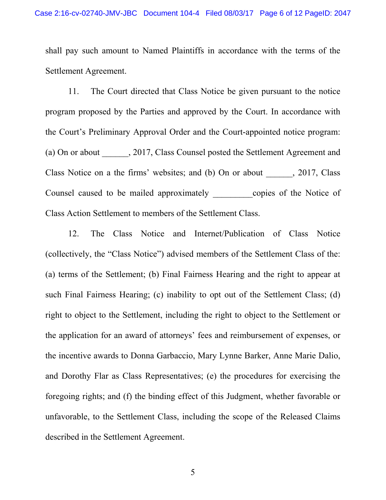shall pay such amount to Named Plaintiffs in accordance with the terms of the Settlement Agreement.

11. The Court directed that Class Notice be given pursuant to the notice program proposed by the Parties and approved by the Court. In accordance with the Court's Preliminary Approval Order and the Court-appointed notice program: (a) On or about 2017, Class Counsel posted the Settlement Agreement and Class Notice on a the firms' websites; and (b) On or about , 2017, Class Counsel caused to be mailed approximately copies of the Notice of Class Action Settlement to members of the Settlement Class.

12. The Class Notice and Internet/Publication of Class Notice (collectively, the "Class Notice") advised members of the Settlement Class of the: (a) terms of the Settlement; (b) Final Fairness Hearing and the right to appear at such Final Fairness Hearing; (c) inability to opt out of the Settlement Class; (d) right to object to the Settlement, including the right to object to the Settlement or the application for an award of attorneys' fees and reimbursement of expenses, or the incentive awards to Donna Garbaccio, Mary Lynne Barker, Anne Marie Dalio, and Dorothy Flar as Class Representatives; (e) the procedures for exercising the foregoing rights; and (f) the binding effect of this Judgment, whether favorable or unfavorable, to the Settlement Class, including the scope of the Released Claims described in the Settlement Agreement.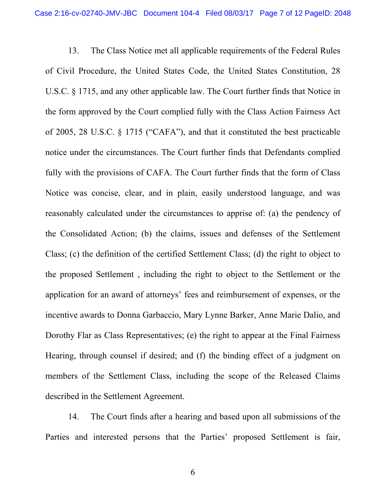13. The Class Notice met all applicable requirements of the Federal Rules of Civil Procedure, the United States Code, the United States Constitution, 28 U.S.C. § 1715, and any other applicable law. The Court further finds that Notice in the form approved by the Court complied fully with the Class Action Fairness Act of 2005, 28 U.S.C. § 1715 ("CAFA"), and that it constituted the best practicable notice under the circumstances. The Court further finds that Defendants complied fully with the provisions of CAFA. The Court further finds that the form of Class Notice was concise, clear, and in plain, easily understood language, and was reasonably calculated under the circumstances to apprise of: (a) the pendency of the Consolidated Action; (b) the claims, issues and defenses of the Settlement Class; (c) the definition of the certified Settlement Class; (d) the right to object to the proposed Settlement , including the right to object to the Settlement or the application for an award of attorneys' fees and reimbursement of expenses, or the incentive awards to Donna Garbaccio, Mary Lynne Barker, Anne Marie Dalio, and Dorothy Flar as Class Representatives; (e) the right to appear at the Final Fairness Hearing, through counsel if desired; and (f) the binding effect of a judgment on members of the Settlement Class, including the scope of the Released Claims described in the Settlement Agreement.

14. The Court finds after a hearing and based upon all submissions of the Parties and interested persons that the Parties' proposed Settlement is fair,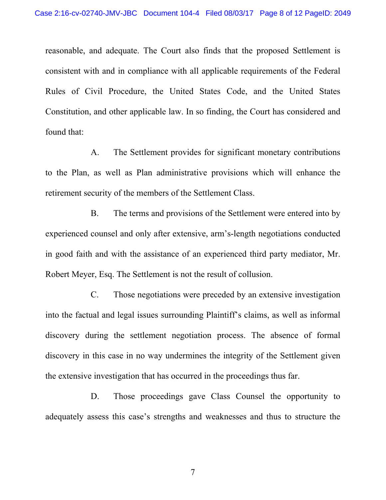reasonable, and adequate. The Court also finds that the proposed Settlement is consistent with and in compliance with all applicable requirements of the Federal Rules of Civil Procedure, the United States Code, and the United States Constitution, and other applicable law. In so finding, the Court has considered and found that:

A. The Settlement provides for significant monetary contributions to the Plan, as well as Plan administrative provisions which will enhance the retirement security of the members of the Settlement Class.

B. The terms and provisions of the Settlement were entered into by experienced counsel and only after extensive, arm's-length negotiations conducted in good faith and with the assistance of an experienced third party mediator, Mr. Robert Meyer, Esq. The Settlement is not the result of collusion.

C. Those negotiations were preceded by an extensive investigation into the factual and legal issues surrounding Plaintiff's claims, as well as informal discovery during the settlement negotiation process. The absence of formal discovery in this case in no way undermines the integrity of the Settlement given the extensive investigation that has occurred in the proceedings thus far.

D. Those proceedings gave Class Counsel the opportunity to adequately assess this case's strengths and weaknesses and thus to structure the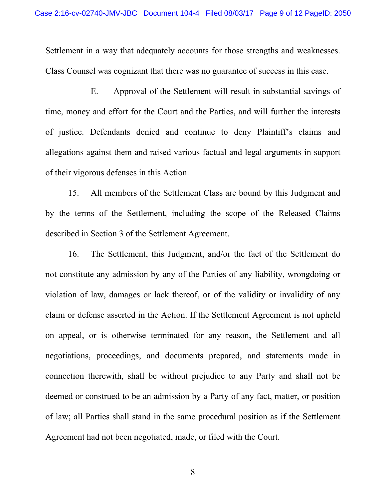Settlement in a way that adequately accounts for those strengths and weaknesses. Class Counsel was cognizant that there was no guarantee of success in this case.

E. Approval of the Settlement will result in substantial savings of time, money and effort for the Court and the Parties, and will further the interests of justice. Defendants denied and continue to deny Plaintiff's claims and allegations against them and raised various factual and legal arguments in support of their vigorous defenses in this Action.

15. All members of the Settlement Class are bound by this Judgment and by the terms of the Settlement, including the scope of the Released Claims described in Section 3 of the Settlement Agreement.

16. The Settlement, this Judgment, and/or the fact of the Settlement do not constitute any admission by any of the Parties of any liability, wrongdoing or violation of law, damages or lack thereof, or of the validity or invalidity of any claim or defense asserted in the Action. If the Settlement Agreement is not upheld on appeal, or is otherwise terminated for any reason, the Settlement and all negotiations, proceedings, and documents prepared, and statements made in connection therewith, shall be without prejudice to any Party and shall not be deemed or construed to be an admission by a Party of any fact, matter, or position of law; all Parties shall stand in the same procedural position as if the Settlement Agreement had not been negotiated, made, or filed with the Court.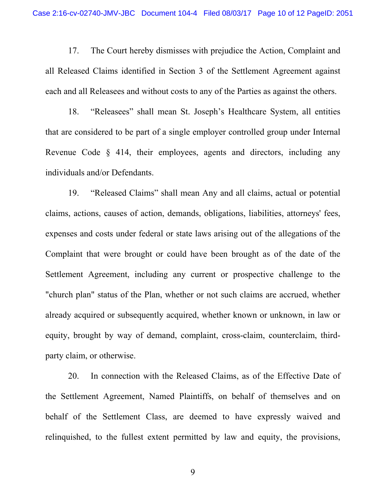17. The Court hereby dismisses with prejudice the Action, Complaint and all Released Claims identified in Section 3 of the Settlement Agreement against each and all Releasees and without costs to any of the Parties as against the others.

18. "Releasees" shall mean St. Joseph's Healthcare System, all entities that are considered to be part of a single employer controlled group under Internal Revenue Code § 414, their employees, agents and directors, including any individuals and/or Defendants.

19. "Released Claims" shall mean Any and all claims, actual or potential claims, actions, causes of action, demands, obligations, liabilities, attorneys' fees, expenses and costs under federal or state laws arising out of the allegations of the Complaint that were brought or could have been brought as of the date of the Settlement Agreement, including any current or prospective challenge to the "church plan" status of the Plan, whether or not such claims are accrued, whether already acquired or subsequently acquired, whether known or unknown, in law or equity, brought by way of demand, complaint, cross-claim, counterclaim, thirdparty claim, or otherwise.

20. In connection with the Released Claims, as of the Effective Date of the Settlement Agreement, Named Plaintiffs, on behalf of themselves and on behalf of the Settlement Class, are deemed to have expressly waived and relinquished, to the fullest extent permitted by law and equity, the provisions,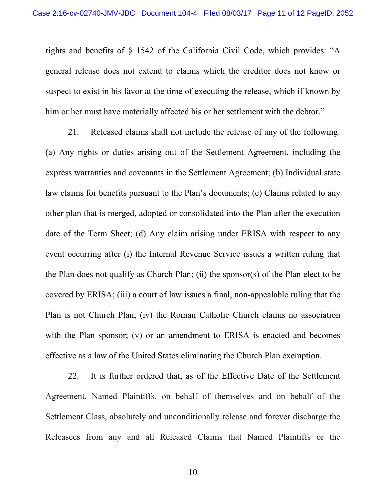rights and benefits of § 1542 of the California Civil Code, which provides: "A general release does not extend to claims which the creditor does not know or suspect to exist in his favor at the time of executing the release, which if known by him or her must have materially affected his or her settlement with the debtor."

21. Released claims shall not include the release of any of the following: (a) Any rights or duties arising out of the Settlement Agreement, including the express warranties and covenants in the Settlement Agreement; (b) Individual state law claims for benefits pursuant to the Plan's documents; (c) Claims related to any other plan that is merged, adopted or consolidated into the Plan after the execution date of the Term Sheet; (d) Any claim arising under ERISA with respect to any event occurring after (i) the Internal Revenue Service issues a written ruling that the Plan does not qualify as Church Plan; (ii) the sponsor(s) of the Plan elect to be covered by ERISA; (iii) a court of law issues a final, non-appealable ruling that the Plan is not Church Plan; (iv) the Roman Catholic Church claims no association with the Plan sponsor; (v) or an amendment to ERISA is enacted and becomes effective as a law of the United States eliminating the Church Plan exemption.

22. It is further ordered that, as of the Effective Date of the Settlement Agreement, Named Plaintiffs, on behalf of themselves and on behalf of the Settlement Class, absolutely and unconditionally release and forever discharge the Releasees from any and all Released Claims that Named Plaintiffs or the